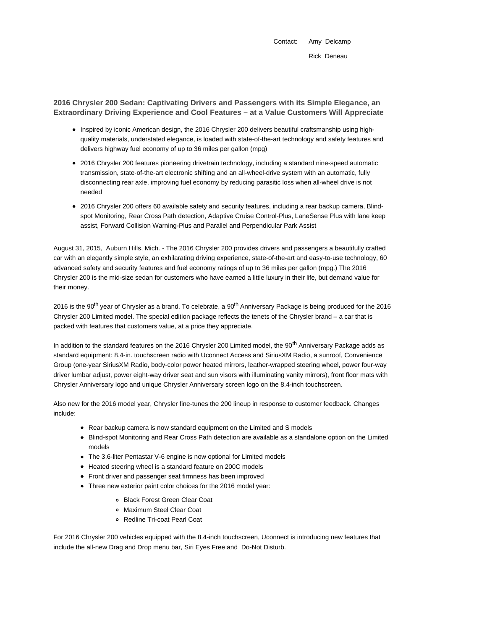Contact: Amy Delcamp Rick Deneau

**2016 Chrysler 200 Sedan: Captivating Drivers and Passengers with its Simple Elegance, an Extraordinary Driving Experience and Cool Features – at a Value Customers Will Appreciate**

- Inspired by iconic American design, the 2016 Chrysler 200 delivers beautiful craftsmanship using highquality materials, understated elegance, is loaded with state-of-the-art technology and safety features and delivers highway fuel economy of up to 36 miles per gallon (mpg)
- 2016 Chrysler 200 features pioneering drivetrain technology, including a standard nine-speed automatic transmission, state-of-the-art electronic shifting and an all-wheel-drive system with an automatic, fully disconnecting rear axle, improving fuel economy by reducing parasitic loss when all-wheel drive is not needed
- 2016 Chrysler 200 offers 60 available safety and security features, including a rear backup camera, Blindspot Monitoring, Rear Cross Path detection, Adaptive Cruise Control-Plus, LaneSense Plus with lane keep assist, Forward Collision Warning-Plus and Parallel and Perpendicular Park Assist

August 31, 2015, Auburn Hills, Mich. - The 2016 Chrysler 200 provides drivers and passengers a beautifully crafted car with an elegantly simple style, an exhilarating driving experience, state-of-the-art and easy-to-use technology, 60 advanced safety and security features and fuel economy ratings of up to 36 miles per gallon (mpg.) The 2016 Chrysler 200 is the mid-size sedan for customers who have earned a little luxury in their life, but demand value for their money.

2016 is the 90<sup>th</sup> year of Chrysler as a brand. To celebrate, a 90<sup>th</sup> Anniversary Package is being produced for the 2016 Chrysler 200 Limited model. The special edition package reflects the tenets of the Chrysler brand – a car that is packed with features that customers value, at a price they appreciate.

In addition to the standard features on the 2016 Chrysler 200 Limited model, the 90<sup>th</sup> Anniversary Package adds as standard equipment: 8.4-in. touchscreen radio with Uconnect Access and SiriusXM Radio, a sunroof, Convenience Group (one-year SiriusXM Radio, body-color power heated mirrors, leather-wrapped steering wheel, power four-way driver lumbar adjust, power eight-way driver seat and sun visors with illuminating vanity mirrors), front floor mats with Chrysler Anniversary logo and unique Chrysler Anniversary screen logo on the 8.4-inch touchscreen.

Also new for the 2016 model year, Chrysler fine-tunes the 200 lineup in response to customer feedback. Changes include:

- Rear backup camera is now standard equipment on the Limited and S models
- Blind-spot Monitoring and Rear Cross Path detection are available as a standalone option on the Limited models
- The 3.6-liter Pentastar V-6 engine is now optional for Limited models
- Heated steering wheel is a standard feature on 200C models
- Front driver and passenger seat firmness has been improved
- Three new exterior paint color choices for the 2016 model year:
	- Black Forest Green Clear Coat
	- Maximum Steel Clear Coat
	- Redline Tri-coat Pearl Coat

For 2016 Chrysler 200 vehicles equipped with the 8.4-inch touchscreen, Uconnect is introducing new features that include the all-new Drag and Drop menu bar, Siri Eyes Free and Do-Not Disturb.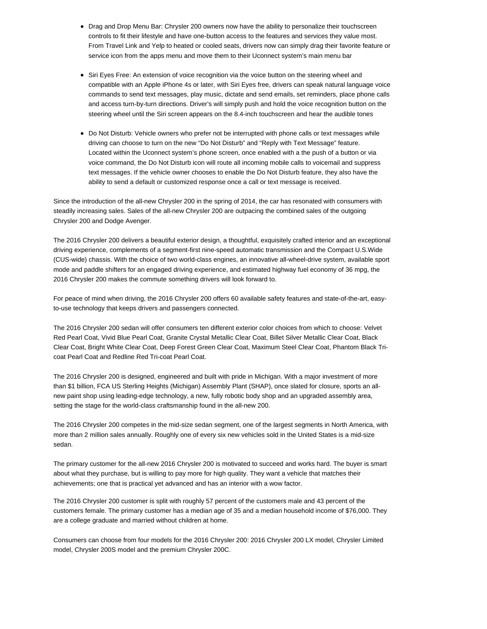- Drag and Drop Menu Bar: Chrysler 200 owners now have the ability to personalize their touchscreen controls to fit their lifestyle and have one-button access to the features and services they value most. From Travel Link and Yelp to heated or cooled seats, drivers now can simply drag their favorite feature or service icon from the apps menu and move them to their Uconnect system's main menu bar
- Siri Eyes Free: An extension of voice recognition via the voice button on the steering wheel and compatible with an Apple iPhone 4s or later, with Siri Eyes free, drivers can speak natural language voice commands to send text messages, play music, dictate and send emails, set reminders, place phone calls and access turn-by-turn directions. Driver's will simply push and hold the voice recognition button on the steering wheel until the Siri screen appears on the 8.4-inch touchscreen and hear the audible tones
- Do Not Disturb: Vehicle owners who prefer not be interrupted with phone calls or text messages while driving can choose to turn on the new "Do Not Disturb" and "Reply with Text Message" feature. Located within the Uconnect system's phone screen, once enabled with a the push of a button or via voice command, the Do Not Disturb icon will route all incoming mobile calls to voicemail and suppress text messages. If the vehicle owner chooses to enable the Do Not Disturb feature, they also have the ability to send a default or customized response once a call or text message is received.

Since the introduction of the all-new Chrysler 200 in the spring of 2014, the car has resonated with consumers with steadily increasing sales. Sales of the all-new Chrysler 200 are outpacing the combined sales of the outgoing Chrysler 200 and Dodge Avenger.

The 2016 Chrysler 200 delivers a beautiful exterior design, a thoughtful, exquisitely crafted interior and an exceptional driving experience, complements of a segment-first nine-speed automatic transmission and the Compact U.S.Wide (CUS-wide) chassis. With the choice of two world-class engines, an innovative all-wheel-drive system, available sport mode and paddle shifters for an engaged driving experience, and estimated highway fuel economy of 36 mpg, the 2016 Chrysler 200 makes the commute something drivers will look forward to.

For peace of mind when driving, the 2016 Chrysler 200 offers 60 available safety features and state-of-the-art, easyto-use technology that keeps drivers and passengers connected.

The 2016 Chrysler 200 sedan will offer consumers ten different exterior color choices from which to choose: Velvet Red Pearl Coat, Vivid Blue Pearl Coat, Granite Crystal Metallic Clear Coat, Billet Silver Metallic Clear Coat, Black Clear Coat, Bright White Clear Coat, Deep Forest Green Clear Coat, Maximum Steel Clear Coat, Phantom Black Tricoat Pearl Coat and Redline Red Tri-coat Pearl Coat.

The 2016 Chrysler 200 is designed, engineered and built with pride in Michigan. With a major investment of more than \$1 billion, FCA US Sterling Heights (Michigan) Assembly Plant (SHAP), once slated for closure, sports an allnew paint shop using leading-edge technology, a new, fully robotic body shop and an upgraded assembly area, setting the stage for the world-class craftsmanship found in the all-new 200.

The 2016 Chrysler 200 competes in the mid-size sedan segment, one of the largest segments in North America, with more than 2 million sales annually. Roughly one of every six new vehicles sold in the United States is a mid-size sedan.

The primary customer for the all-new 2016 Chrysler 200 is motivated to succeed and works hard. The buyer is smart about what they purchase, but is willing to pay more for high quality. They want a vehicle that matches their achievements; one that is practical yet advanced and has an interior with a wow factor.

The 2016 Chrysler 200 customer is split with roughly 57 percent of the customers male and 43 percent of the customers female. The primary customer has a median age of 35 and a median household income of \$76,000. They are a college graduate and married without children at home.

Consumers can choose from four models for the 2016 Chrysler 200: 2016 Chrysler 200 LX model, Chrysler Limited model, Chrysler 200S model and the premium Chrysler 200C.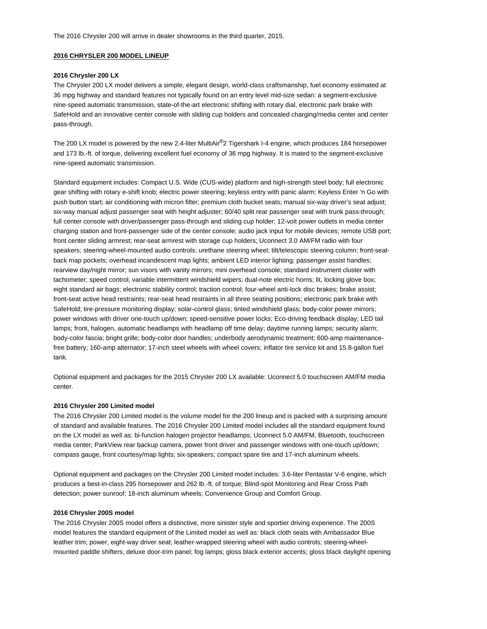### **2016 CHRYSLER 200 MODEL LINEUP**

## **2016 Chrysler 200 LX**

The Chrysler 200 LX model delivers a simple, elegant design, world-class craftsmanship, fuel economy estimated at 36 mpg highway and standard features not typically found on an entry level mid-size sedan: a segment-exclusive nine-speed automatic transmission, state-of-the-art electronic shifting with rotary dial, electronic park brake with SafeHold and an innovative center console with sliding cup holders and concealed charging/media center and center pass-through.

The 200 LX model is powered by the new 2.4-liter MultiAir®2 Tigershark I-4 engine, which produces 184 horsepower and 173 lb.-ft. of torque, delivering excellent fuel economy of 36 mpg highway. It is mated to the segment-exclusive nine-speed automatic transmission.

Standard equipment includes: Compact U.S. Wide (CUS-wide) platform and high-strength steel body; full electronic gear shifting with rotary e-shift knob; electric power steering; keyless entry with panic alarm; Keyless Enter 'n Go with push button start; air conditioning with micron filter; premium cloth bucket seats; manual six-way driver's seat adjust; six-way manual adjust passenger seat with height adjuster; 60/40 split rear passenger seat with trunk pass-through; full center console with driver/passenger pass-through and sliding cup holder; 12-volt power outlets in media center charging station and front-passenger side of the center console; audio jack input for mobile devices; remote USB port; front center sliding armrest; rear-seat armrest with storage cup holders; Uconnect 3.0 AM/FM radio with four speakers; steering-wheel-mounted audio controls; urethane steering wheel; tilt/telescopic steering column; front-seatback map pockets; overhead incandescent map lights; ambient LED interior lighting; passenger assist handles; rearview day/night mirror; sun visors with vanity mirrors; mini overhead console; standard instrument cluster with tachometer; speed control; variable intermittent windshield wipers; dual-note electric horns; lit, locking glove box; eight standard air bags; electronic stability control; traction control; four-wheel anti-lock disc brakes; brake assist; front-seat active head restraints; rear-seat head restraints in all three seating positions; electronic park brake with SafeHold; tire-pressure monitoring display; solar-control glass; tinted windshield glass; body-color power mirrors; power windows with driver one-touch up/down; speed-sensitive power locks; Eco-driving feedback display; LED tail lamps; front, halogen, automatic headlamps with headlamp off time delay; daytime running lamps; security alarm; body-color fascia; bright grille; body-color door handles; underbody aerodynamic treatment; 600-amp maintenancefree battery; 160-amp alternator; 17-inch steel wheels with wheel covers; inflator tire service kit and 15.8-gallon fuel tank.

Optional equipment and packages for the 2015 Chrysler 200 LX available: Uconnect 5.0 touchscreen AM/FM media center.

#### **2016 Chrysler 200 Limited model**

The 2016 Chrysler 200 Limited model is the volume model for the 200 lineup and is packed with a surprising amount of standard and available features. The 2016 Chrysler 200 Limited model includes all the standard equipment found on the LX model as well as: bi-function halogen projector headlamps; Uconnect 5.0 AM/FM, Bluetooth, touchscreen media center; ParkView rear backup camera, power front driver and passenger windows with one-touch up/down; compass gauge, front courtesy/map lights; six-speakers; compact spare tire and 17-inch aluminum wheels.

Optional equipment and packages on the Chrysler 200 Limited model includes: 3.6-liter Pentastar V-6 engine, which produces a best-in-class 295 horsepower and 262 lb.-ft. of torque; Blind-spot Monitoring and Rear Cross Path detection; power sunroof; 18-inch aluminum wheels; Convenience Group and Comfort Group.

#### **2016 Chrysler 200S model**

The 2016 Chrysler 200S model offers a distinctive, more sinister style and sportier driving experience. The 200S model features the standard equipment of the Limited model as well as: black cloth seats with Ambassador Blue leather trim; power, eight-way driver seat; leather-wrapped steering wheel with audio controls; steering-wheelmounted paddle shifters; deluxe door-trim panel; fog lamps; gloss black exterior accents; gloss black daylight opening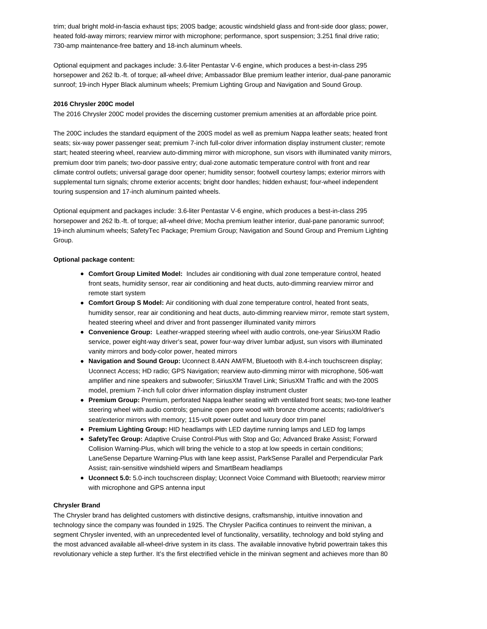trim; dual bright mold-in-fascia exhaust tips; 200S badge; acoustic windshield glass and front-side door glass; power, heated fold-away mirrors; rearview mirror with microphone; performance, sport suspension; 3.251 final drive ratio; 730-amp maintenance-free battery and 18-inch aluminum wheels.

Optional equipment and packages include: 3.6-liter Pentastar V-6 engine, which produces a best-in-class 295 horsepower and 262 lb.-ft. of torque; all-wheel drive; Ambassador Blue premium leather interior, dual-pane panoramic sunroof; 19-inch Hyper Black aluminum wheels; Premium Lighting Group and Navigation and Sound Group.

#### **2016 Chrysler 200C model**

The 2016 Chrysler 200C model provides the discerning customer premium amenities at an affordable price point.

The 200C includes the standard equipment of the 200S model as well as premium Nappa leather seats; heated front seats; six-way power passenger seat; premium 7-inch full-color driver information display instrument cluster; remote start; heated steering wheel, rearview auto-dimming mirror with microphone, sun visors with illuminated vanity mirrors, premium door trim panels; two-door passive entry; dual-zone automatic temperature control with front and rear climate control outlets; universal garage door opener; humidity sensor; footwell courtesy lamps; exterior mirrors with supplemental turn signals; chrome exterior accents; bright door handles; hidden exhaust; four-wheel independent touring suspension and 17-inch aluminum painted wheels.

Optional equipment and packages include: 3.6-liter Pentastar V-6 engine, which produces a best-in-class 295 horsepower and 262 lb.-ft. of torque; all-wheel drive; Mocha premium leather interior, dual-pane panoramic sunroof; 19-inch aluminum wheels; SafetyTec Package; Premium Group; Navigation and Sound Group and Premium Lighting Group.

#### **Optional package content:**

- **Comfort Group Limited Model:** Includes air conditioning with dual zone temperature control, heated front seats, humidity sensor, rear air conditioning and heat ducts, auto-dimming rearview mirror and remote start system
- **Comfort Group S Model:** Air conditioning with dual zone temperature control, heated front seats, humidity sensor, rear air conditioning and heat ducts, auto-dimming rearview mirror, remote start system, heated steering wheel and driver and front passenger illuminated vanity mirrors
- **Convenience Group:** Leather-wrapped steering wheel with audio controls, one-year SiriusXM Radio service, power eight-way driver's seat, power four-way driver lumbar adjust, sun visors with illuminated vanity mirrors and body-color power, heated mirrors
- **Navigation and Sound Group:** Uconnect 8.4AN AM/FM, Bluetooth with 8.4-inch touchscreen display; Uconnect Access; HD radio; GPS Navigation; rearview auto-dimming mirror with microphone, 506-watt amplifier and nine speakers and subwoofer; SiriusXM Travel Link; SiriusXM Traffic and with the 200S model, premium 7-inch full color driver information display instrument cluster
- **Premium Group:** Premium, perforated Nappa leather seating with ventilated front seats; two-tone leather steering wheel with audio controls; genuine open pore wood with bronze chrome accents; radio/driver's seat/exterior mirrors with memory; 115-volt power outlet and luxury door trim panel
- **Premium Lighting Group:** HID headlamps with LED daytime running lamps and LED fog lamps
- **SafetyTec Group:** Adaptive Cruise Control-Plus with Stop and Go; Advanced Brake Assist; Forward Collision Warning-Plus, which will bring the vehicle to a stop at low speeds in certain conditions; LaneSense Departure Warning-Plus with lane keep assist, ParkSense Parallel and Perpendicular Park Assist; rain-sensitive windshield wipers and SmartBeam headlamps
- **Uconnect 5.0:** 5.0-inch touchscreen display; Uconnect Voice Command with Bluetooth; rearview mirror with microphone and GPS antenna input

#### **Chrysler Brand**

The Chrysler brand has delighted customers with distinctive designs, craftsmanship, intuitive innovation and technology since the company was founded in 1925. The Chrysler Pacifica continues to reinvent the minivan, a segment Chrysler invented, with an unprecedented level of functionality, versatility, technology and bold styling and the most advanced available all-wheel-drive system in its class. The available innovative hybrid powertrain takes this revolutionary vehicle a step further. It's the first electrified vehicle in the minivan segment and achieves more than 80